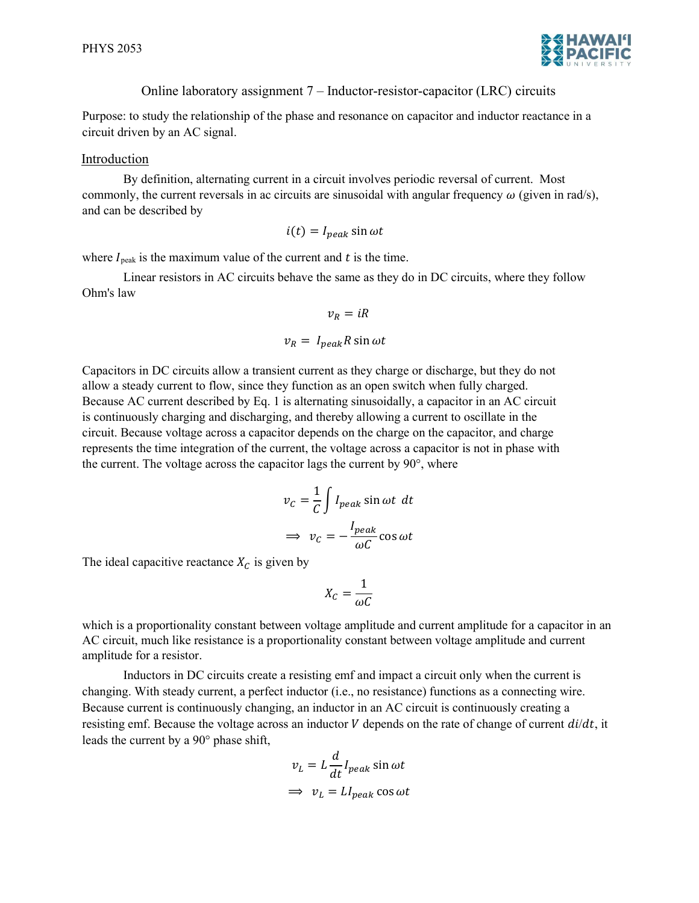

Online laboratory assignment 7 – Inductor-resistor-capacitor (LRC) circuits

Purpose: to study the relationship of the phase and resonance on capacitor and inductor reactance in a circuit driven by an AC signal.

## Introduction

By definition, alternating current in a circuit involves periodic reversal of current. Most commonly, the current reversals in ac circuits are sinusoidal with angular frequency  $\omega$  (given in rad/s), and can be described by

$$
i(t) = I_{peak} \sin \omega t
$$

where  $I_{\text{peak}}$  is the maximum value of the current and  $t$  is the time.

Linear resistors in AC circuits behave the same as they do in DC circuits, where they follow Ohm's law

$$
v_R = iR
$$

$$
v_R = I_{peak} R \sin \omega t
$$

Capacitors in DC circuits allow a transient current as they charge or discharge, but they do not allow a steady current to flow, since they function as an open switch when fully charged. Because AC current described by Eq. 1 is alternating sinusoidally, a capacitor in an AC circuit is continuously charging and discharging, and thereby allowing a current to oscillate in the circuit. Because voltage across a capacitor depends on the charge on the capacitor, and charge represents the time integration of the current, the voltage across a capacitor is not in phase with the current. The voltage across the capacitor lags the current by 90°, where

$$
v_C = \frac{1}{C} \int I_{peak} \sin \omega t \ dt
$$

$$
\Rightarrow v_C = -\frac{I_{peak}}{\omega C} \cos \omega t
$$

The ideal capacitive reactance  $X_c$  is given by

$$
X_C = \frac{1}{\omega C}
$$

which is a proportionality constant between voltage amplitude and current amplitude for a capacitor in an AC circuit, much like resistance is a proportionality constant between voltage amplitude and current amplitude for a resistor.

Inductors in DC circuits create a resisting emf and impact a circuit only when the current is changing. With steady current, a perfect inductor (i.e., no resistance) functions as a connecting wire. Because current is continuously changing, an inductor in an AC circuit is continuously creating a resisting emf. Because the voltage across an inductor V depends on the rate of change of current  $di/dt$ , it leads the current by a 90° phase shift,

$$
v_L = L \frac{d}{dt} I_{peak} \sin \omega t
$$
  

$$
\Rightarrow v_L = L I_{peak} \cos \omega t
$$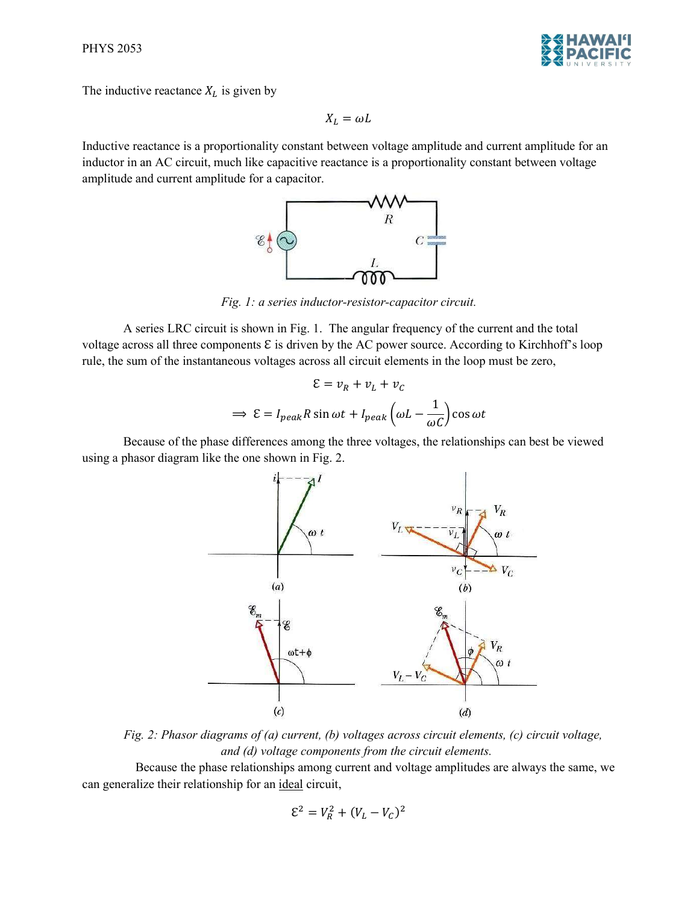

The inductive reactance  $X_L$  is given by

$$
X_L = \omega L
$$

Inductive reactance is a proportionality constant between voltage amplitude and current amplitude for an inductor in an AC circuit, much like capacitive reactance is a proportionality constant between voltage amplitude and current amplitude for a capacitor.



Fig. 1: a series inductor-resistor-capacitor circuit.

A series LRC circuit is shown in Fig. 1. The angular frequency of the current and the total voltage across all three components  $\epsilon$  is driven by the AC power source. According to Kirchhoff's loop rule, the sum of the instantaneous voltages across all circuit elements in the loop must be zero,

$$
\mathcal{E} = v_R + v_L + v_C
$$

$$
\implies \mathcal{E} = I_{peak} R \sin \omega t + I_{peak} \left(\omega L - \frac{1}{\omega C}\right) \cos \omega t
$$

Because of the phase differences among the three voltages, the relationships can best be viewed using a phasor diagram like the one shown in Fig. 2.



Fig. 2: Phasor diagrams of (a) current, (b) voltages across circuit elements, (c) circuit voltage, and (d) voltage components from the circuit elements.

Because the phase relationships among current and voltage amplitudes are always the same, we can generalize their relationship for an ideal circuit,

$$
\mathcal{E}^2 = V_R^2 + (V_L - V_C)^2
$$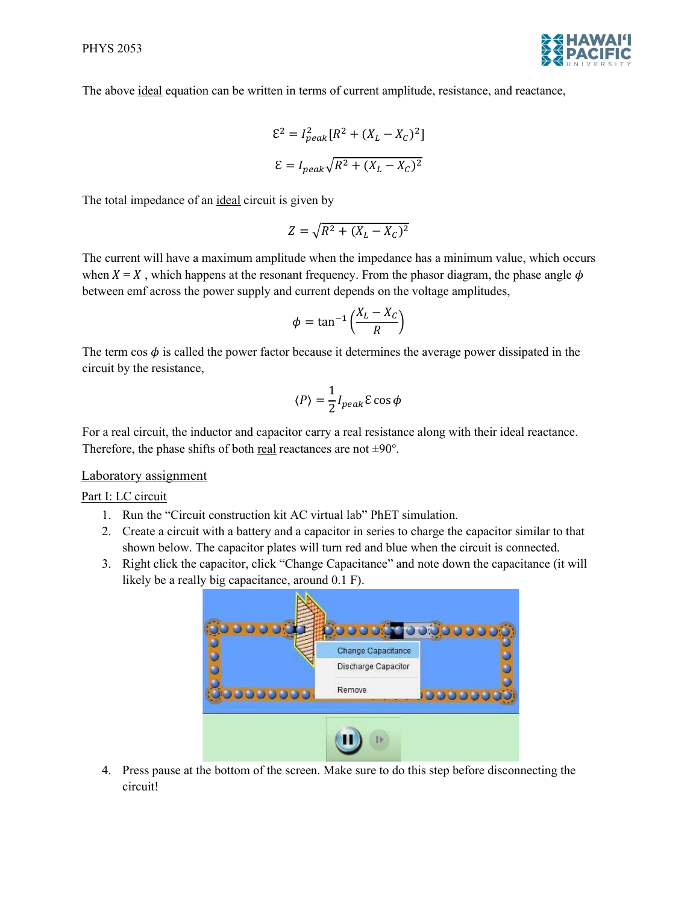

The above ideal equation can be written in terms of current amplitude, resistance, and reactance,

$$
\mathcal{E}^2 = I_{peak}^2 [R^2 + (X_L - X_C)^2]
$$

$$
\mathcal{E} = I_{peak} \sqrt{R^2 + (X_L - X_C)^2}
$$

The total impedance of an ideal circuit is given by

$$
Z = \sqrt{R^2 + (X_L - X_C)^2}
$$

The current will have a maximum amplitude when the impedance has a minimum value, which occurs when  $X = X$ , which happens at the resonant frequency. From the phasor diagram, the phase angle  $\phi$ between emf across the power supply and current depends on the voltage amplitudes,

$$
\phi = \tan^{-1}\left(\frac{X_L - X_C}{R}\right)
$$

The term cos  $\phi$  is called the power factor because it determines the average power dissipated in the circuit by the resistance,

$$
\langle P \rangle = \frac{1}{2} I_{peak} \varepsilon \cos \phi
$$

For a real circuit, the inductor and capacitor carry a real resistance along with their ideal reactance. Therefore, the phase shifts of both real reactances are not  $\pm 90^\circ$ .

## Laboratory assignment

Part I: LC circuit

- 1. Run the "Circuit construction kit AC virtual lab" PhET simulation.
- 2. Create a circuit with a battery and a capacitor in series to charge the capacitor similar to that shown below. The capacitor plates will turn red and blue when the circuit is connected.
- 3. Right click the capacitor, click "Change Capacitance" and note down the capacitance (it will likely be a really big capacitance, around 0.1 F).



4. Press pause at the bottom of the screen. Make sure to do this step before disconnecting the circuit!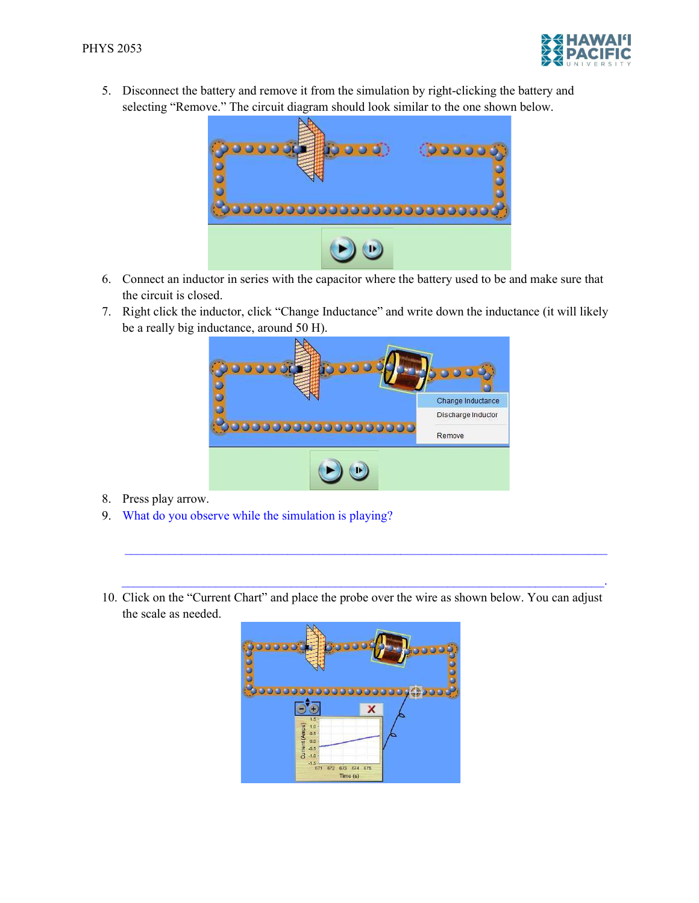

5. Disconnect the battery and remove it from the simulation by right-clicking the battery and selecting "Remove." The circuit diagram should look similar to the one shown below.



- 6. Connect an inductor in series with the capacitor where the battery used to be and make sure that the circuit is closed.
- 7. Right click the inductor, click "Change Inductance" and write down the inductance (it will likely be a really big inductance, around 50 H).



- 8. Press play arrow.
- 9. What do you observe while the simulation is playing?
- 10. Click on the "Current Chart" and place the probe over the wire as shown below. You can adjust the scale as needed.

 $\mathcal{L}_\mathcal{L} = \{ \mathcal{L}_\mathcal{L} = \{ \mathcal{L}_\mathcal{L} = \{ \mathcal{L}_\mathcal{L} = \{ \mathcal{L}_\mathcal{L} = \{ \mathcal{L}_\mathcal{L} = \{ \mathcal{L}_\mathcal{L} = \{ \mathcal{L}_\mathcal{L} = \{ \mathcal{L}_\mathcal{L} = \{ \mathcal{L}_\mathcal{L} = \{ \mathcal{L}_\mathcal{L} = \{ \mathcal{L}_\mathcal{L} = \{ \mathcal{L}_\mathcal{L} = \{ \mathcal{L}_\mathcal{L} = \{ \mathcal{L}_\mathcal{$ 

 $\mathcal{L}_\text{max}$  and the contribution of the contribution of the contribution of the contribution of the contribution of

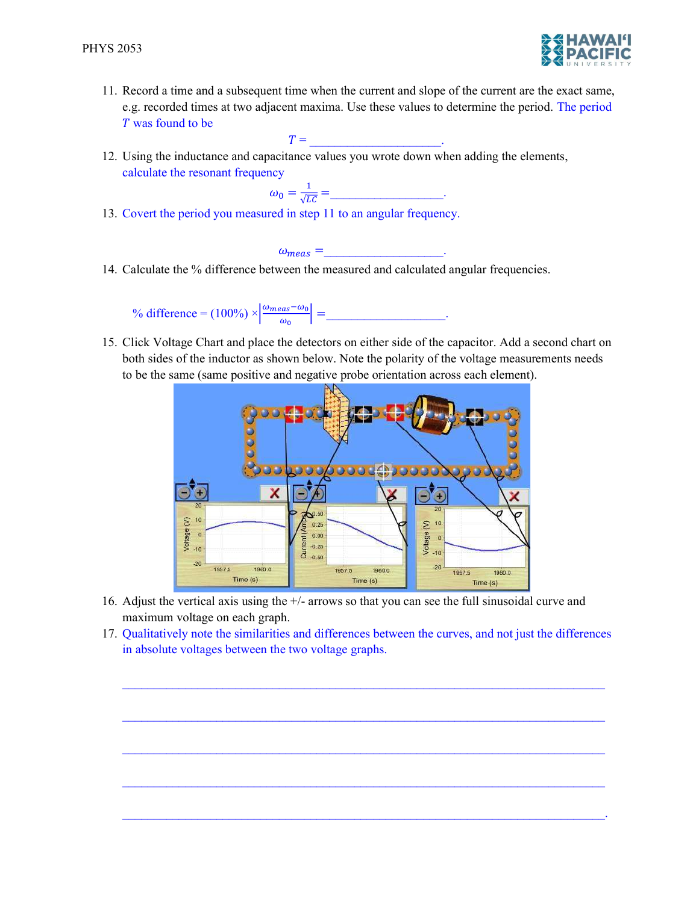

11. Record a time and a subsequent time when the current and slope of the current are the exact same, e.g. recorded times at two adjacent maxima. Use these values to determine the period. The period was found to be

 $T =$ 

12. Using the inductance and capacitance values you wrote down when adding the elements, calculate the resonant frequency

$$
\omega_0 = \frac{1}{\sqrt{LC}} = \underline{\qquad}.
$$

13. Covert the period you measured in step 11 to an angular frequency.

 $\omega_{meas} =$   $\qquad \qquad$ 

14. Calculate the % difference between the measured and calculated angular frequencies.

% difference =  $(100\%) \times \frac{\omega_{meas} - \omega_0}{\omega}$  $\frac{\log 5 - w_0}{\omega_0}$  = \_\_\_\_\_\_\_\_\_\_\_\_\_\_\_\_.

15. Click Voltage Chart and place the detectors on either side of the capacitor. Add a second chart on both sides of the inductor as shown below. Note the polarity of the voltage measurements needs to be the same (same positive and negative probe orientation across each element).



- 16. Adjust the vertical axis using the +/- arrows so that you can see the full sinusoidal curve and maximum voltage on each graph.
- 17. Qualitatively note the similarities and differences between the curves, and not just the differences in absolute voltages between the two voltage graphs.

 $\mathcal{L}_\mathcal{L} = \mathcal{L}_\mathcal{L} = \mathcal{L}_\mathcal{L} = \mathcal{L}_\mathcal{L} = \mathcal{L}_\mathcal{L} = \mathcal{L}_\mathcal{L} = \mathcal{L}_\mathcal{L} = \mathcal{L}_\mathcal{L} = \mathcal{L}_\mathcal{L} = \mathcal{L}_\mathcal{L} = \mathcal{L}_\mathcal{L} = \mathcal{L}_\mathcal{L} = \mathcal{L}_\mathcal{L} = \mathcal{L}_\mathcal{L} = \mathcal{L}_\mathcal{L} = \mathcal{L}_\mathcal{L} = \mathcal{L}_\mathcal{L}$ 

 $\mathcal{L}_\mathcal{L} = \{ \mathcal{L}_\mathcal{L} = \{ \mathcal{L}_\mathcal{L} = \{ \mathcal{L}_\mathcal{L} = \{ \mathcal{L}_\mathcal{L} = \{ \mathcal{L}_\mathcal{L} = \{ \mathcal{L}_\mathcal{L} = \{ \mathcal{L}_\mathcal{L} = \{ \mathcal{L}_\mathcal{L} = \{ \mathcal{L}_\mathcal{L} = \{ \mathcal{L}_\mathcal{L} = \{ \mathcal{L}_\mathcal{L} = \{ \mathcal{L}_\mathcal{L} = \{ \mathcal{L}_\mathcal{L} = \{ \mathcal{L}_\mathcal{$ 

 $\mathcal{L}_\mathcal{L} = \mathcal{L}_\mathcal{L} = \mathcal{L}_\mathcal{L} = \mathcal{L}_\mathcal{L} = \mathcal{L}_\mathcal{L} = \mathcal{L}_\mathcal{L} = \mathcal{L}_\mathcal{L} = \mathcal{L}_\mathcal{L} = \mathcal{L}_\mathcal{L} = \mathcal{L}_\mathcal{L} = \mathcal{L}_\mathcal{L} = \mathcal{L}_\mathcal{L} = \mathcal{L}_\mathcal{L} = \mathcal{L}_\mathcal{L} = \mathcal{L}_\mathcal{L} = \mathcal{L}_\mathcal{L} = \mathcal{L}_\mathcal{L}$ 

 $\mathcal{L}_\mathcal{L} = \{ \mathcal{L}_\mathcal{L} = \{ \mathcal{L}_\mathcal{L} = \{ \mathcal{L}_\mathcal{L} = \{ \mathcal{L}_\mathcal{L} = \{ \mathcal{L}_\mathcal{L} = \{ \mathcal{L}_\mathcal{L} = \{ \mathcal{L}_\mathcal{L} = \{ \mathcal{L}_\mathcal{L} = \{ \mathcal{L}_\mathcal{L} = \{ \mathcal{L}_\mathcal{L} = \{ \mathcal{L}_\mathcal{L} = \{ \mathcal{L}_\mathcal{L} = \{ \mathcal{L}_\mathcal{L} = \{ \mathcal{L}_\mathcal{$ 

 $\mathcal{L}_\text{max} = \mathcal{L}_\text{max} = \mathcal{L}_\text{max} = \mathcal{L}_\text{max} = \mathcal{L}_\text{max} = \mathcal{L}_\text{max} = \mathcal{L}_\text{max} = \mathcal{L}_\text{max} = \mathcal{L}_\text{max} = \mathcal{L}_\text{max} = \mathcal{L}_\text{max} = \mathcal{L}_\text{max} = \mathcal{L}_\text{max} = \mathcal{L}_\text{max} = \mathcal{L}_\text{max} = \mathcal{L}_\text{max} = \mathcal{L}_\text{max} = \mathcal{L}_\text{max} = \mathcal{$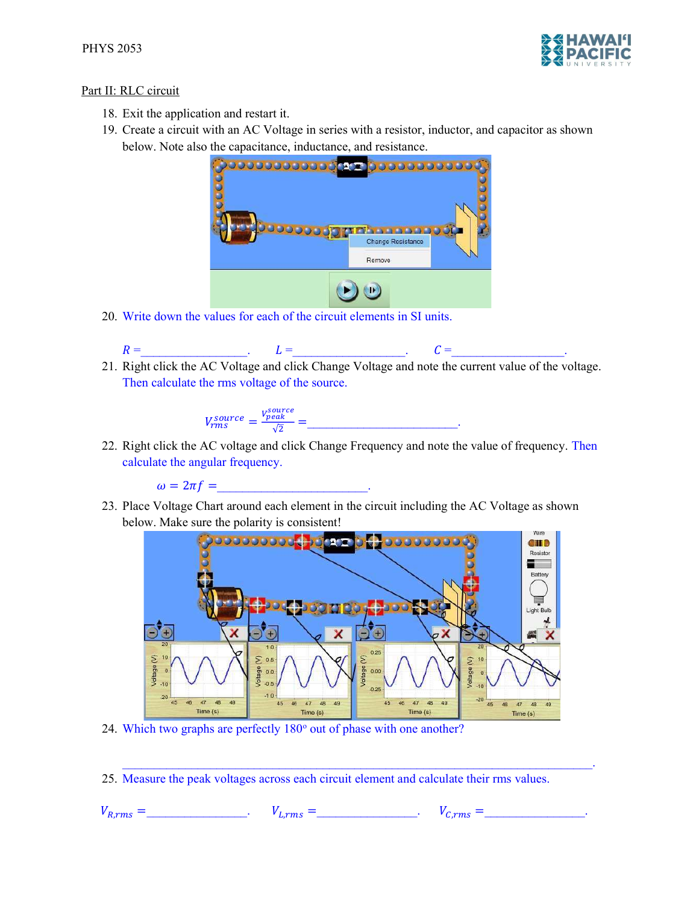

## Part II: RLC circuit

- 18. Exit the application and restart it.
- 19. Create a circuit with an AC Voltage in series with a resistor, inductor, and capacitor as shown below. Note also the capacitance, inductance, and resistance.



20. Write down the values for each of the circuit elements in SI units.

$$
R = \qquad \qquad L = \qquad \qquad C = \qquad \qquad
$$

21. Right click the AC Voltage and click Change Voltage and note the current value of the voltage. Then calculate the rms voltage of the source.

$$
V_{rms}^{source} = \frac{V_{peak}^{source}}{\sqrt{2}} = \underline{\qquad \qquad }
$$

22. Right click the AC voltage and click Change Frequency and note the value of frequency. Then calculate the angular frequency.

 $\omega = 2\pi f =$ 

23. Place Voltage Chart around each element in the circuit including the AC Voltage as shown below. Make sure the polarity is consistent!



- 24. Which two graphs are perfectly 180° out of phase with one another?
- 25. Measure the peak voltages across each circuit element and calculate their rms values.

 $V_{R,rms} = \t\t V_{L,rms} = \t\t V_{L,rms} = \t\t V_{C,rms} = \t\t$ 

 $\mathcal{L}_\mathcal{L} = \mathcal{L}_\mathcal{L} = \mathcal{L}_\mathcal{L} = \mathcal{L}_\mathcal{L} = \mathcal{L}_\mathcal{L} = \mathcal{L}_\mathcal{L} = \mathcal{L}_\mathcal{L} = \mathcal{L}_\mathcal{L} = \mathcal{L}_\mathcal{L} = \mathcal{L}_\mathcal{L} = \mathcal{L}_\mathcal{L} = \mathcal{L}_\mathcal{L} = \mathcal{L}_\mathcal{L} = \mathcal{L}_\mathcal{L} = \mathcal{L}_\mathcal{L} = \mathcal{L}_\mathcal{L} = \mathcal{L}_\mathcal{L}$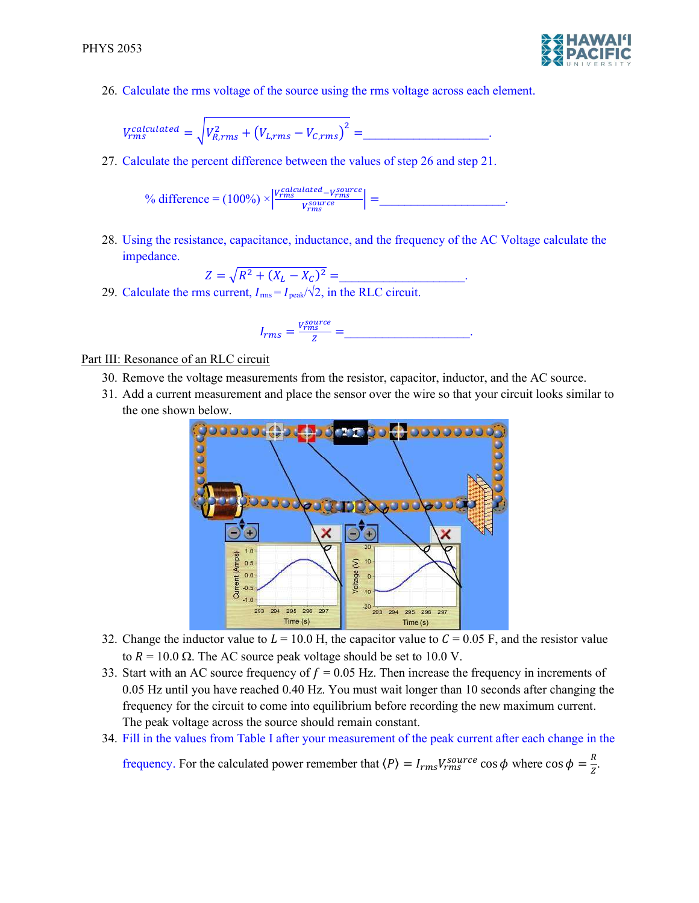

26. Calculate the rms voltage of the source using the rms voltage across each element.

$$
V_{rms}^{calculated} = \sqrt{V_{R,rms}^2 + (V_{L,rms} - V_{C,rms})^2} = \underline{\qquad}.
$$

27. Calculate the percent difference between the values of step 26 and step 21.

$$
\% difference = (100\%) \times \left| \frac{V_{rms}^{calculated} - V_{rms}^{source}}{V_{rms}^{source}} \right| = \_
$$

28. Using the resistance, capacitance, inductance, and the frequency of the AC Voltage calculate the impedance.

$$
Z = \sqrt{R^2 + (X_L - X_C)^2} =
$$

29. Calculate the rms current,  $I_{\text{rms}} = I_{\text{peak}} / \sqrt{2}$ , in the RLC circuit.

$$
I_{rms} = \frac{V_{rms}^{source}}{Z} = \underline{\qquad}.
$$

## Part III: Resonance of an RLC circuit

- 30. Remove the voltage measurements from the resistor, capacitor, inductor, and the AC source.
- 31. Add a current measurement and place the sensor over the wire so that your circuit looks similar to the one shown below.



- 32. Change the inductor value to  $L = 10.0$  H, the capacitor value to  $C = 0.05$  F, and the resistor value to  $R = 10.0 \Omega$ . The AC source peak voltage should be set to 10.0 V.
- 33. Start with an AC source frequency of  $f = 0.05$  Hz. Then increase the frequency in increments of 0.05 Hz until you have reached 0.40 Hz. You must wait longer than 10 seconds after changing the frequency for the circuit to come into equilibrium before recording the new maximum current. The peak voltage across the source should remain constant.
- 34. Fill in the values from Table I after your measurement of the peak current after each change in the

frequency. For the calculated power remember that  $\langle P \rangle = I_{rms} V_{rms}^{source} \cos \phi$  where  $\cos \phi = \frac{R}{Z}$ .  $\frac{n}{Z}$ .